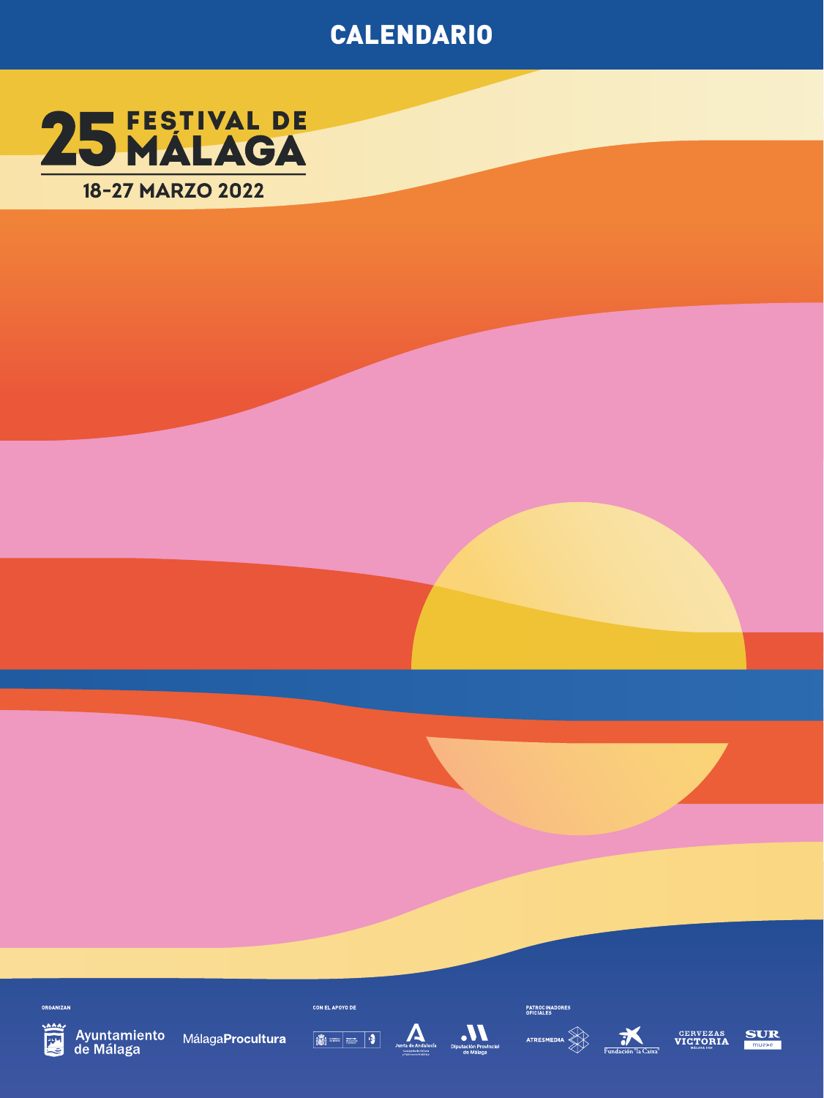## **CALENDARIO**



**DROAM PP** 



Ayuntamiento MálagaProcultura<br>de Málaga











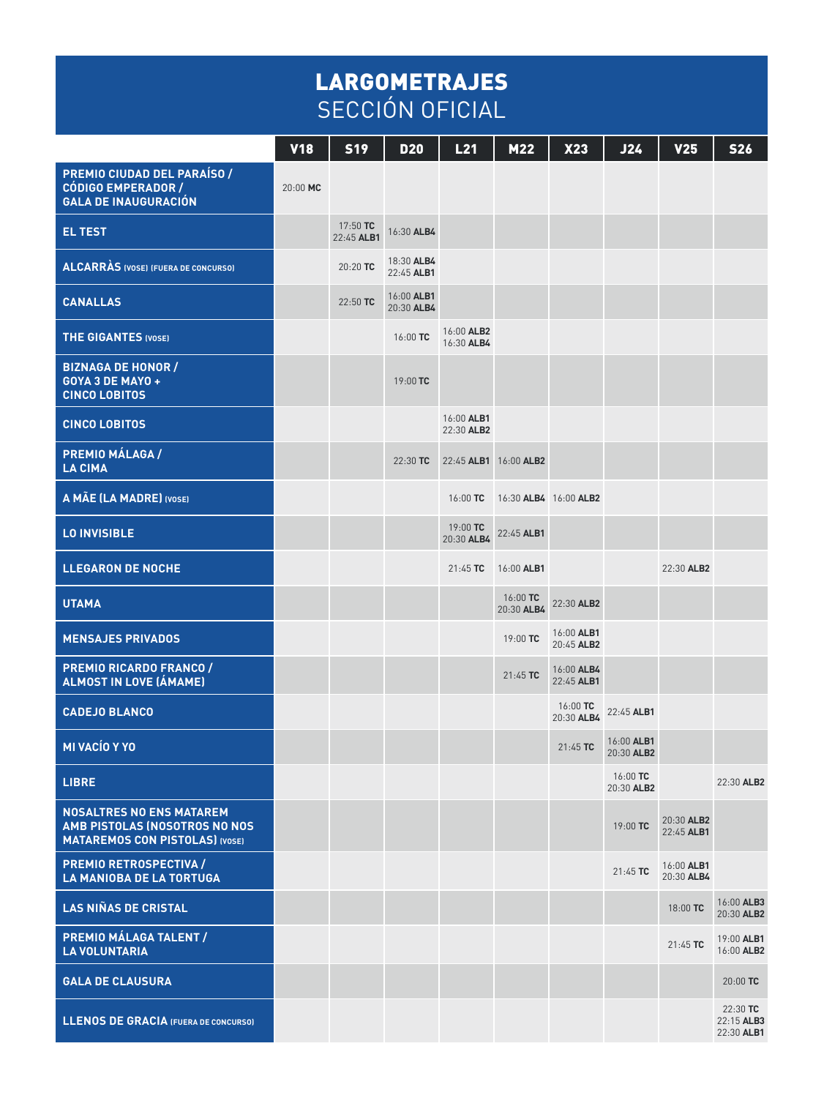## LARGOMETRAJES SECCIÓN OFICIAL

|                                                                                                           | $y_18$   | <b>S19</b>             | <b>D20</b>               | L21                      | M22                    | X23                      | J24                      | <b>V25</b>               | <b>S26</b>                           |
|-----------------------------------------------------------------------------------------------------------|----------|------------------------|--------------------------|--------------------------|------------------------|--------------------------|--------------------------|--------------------------|--------------------------------------|
| PREMIO CIUDAD DEL PARAÍSO /<br><b>CÓDIGO EMPERADOR /</b><br><b>GALA DE INAUGURACIÓN</b>                   | 20:00 MC |                        |                          |                          |                        |                          |                          |                          |                                      |
| <b>EL TEST</b>                                                                                            |          | 17:50 TC<br>22:45 ALB1 | 16:30 ALB4               |                          |                        |                          |                          |                          |                                      |
| <b>ALCARRÀS (VOSE) (FUERA DE CONCURSO)</b>                                                                |          | 20:20 TC               | 18:30 ALB4<br>22:45 ALB1 |                          |                        |                          |                          |                          |                                      |
| <b>CANALLAS</b>                                                                                           |          | 22:50 TC               | 16:00 ALB1<br>20:30 ALB4 |                          |                        |                          |                          |                          |                                      |
| <b>THE GIGANTES (VOSE)</b>                                                                                |          |                        | 16:00 TC                 | 16:00 ALB2<br>16:30 ALB4 |                        |                          |                          |                          |                                      |
| <b>BIZNAGA DE HONOR /</b><br>GOYA 3 DE MAYO +<br><b>CINCO LOBITOS</b>                                     |          |                        | 19:00 TC                 |                          |                        |                          |                          |                          |                                      |
| <b>CINCO LOBITOS</b>                                                                                      |          |                        |                          | 16:00 ALB1<br>22:30 ALB2 |                        |                          |                          |                          |                                      |
| PREMIO MÁLAGA /<br><b>LA CIMA</b>                                                                         |          |                        | 22:30 TC                 | 22:45 ALB1 16:00 ALB2    |                        |                          |                          |                          |                                      |
| A MÃE (LA MADRE) (VOSE)                                                                                   |          |                        |                          | 16:00 TC                 | 16:30 ALB4 16:00 ALB2  |                          |                          |                          |                                      |
| <b>LO INVISIBLE</b>                                                                                       |          |                        |                          | 19:00 TC<br>20:30 ALB4   | 22:45 ALB1             |                          |                          |                          |                                      |
| <b>LLEGARON DE NOCHE</b>                                                                                  |          |                        |                          | $21:45$ TC               | 16:00 ALB1             |                          |                          | 22:30 ALB2               |                                      |
| <b>UTAMA</b>                                                                                              |          |                        |                          |                          | 16:00 TC<br>20:30 ALB4 | 22:30 ALB2               |                          |                          |                                      |
| <b>MENSAJES PRIVADOS</b>                                                                                  |          |                        |                          |                          | 19:00 TC               | 16:00 ALB1<br>20:45 ALB2 |                          |                          |                                      |
| <b>PREMIO RICARDO FRANCO /</b><br>ALMOST IN LOVE (ÁMAME)                                                  |          |                        |                          |                          | $21:45$ TC             | 16:00 ALB4<br>22:45 ALB1 |                          |                          |                                      |
| <b>CADEJO BLANCO</b>                                                                                      |          |                        |                          |                          |                        | 16:00 TC<br>20:30 ALB4   | 22:45 ALB1               |                          |                                      |
| <b>MI VACÍO Y YO</b>                                                                                      |          |                        |                          |                          |                        | $21:45$ TC               | 16:00 ALB1<br>20:30 ALB2 |                          |                                      |
| <b>LIBRE</b>                                                                                              |          |                        |                          |                          |                        |                          | 16:00 TC<br>20:30 ALB2   |                          | 22:30 ALB2                           |
| <b>NOSALTRES NO ENS MATAREM</b><br>AMB PISTOLAS (NOSOTROS NO NOS<br><b>MATAREMOS CON PISTOLAS) (VOSE)</b> |          |                        |                          |                          |                        |                          | 19:00 TC                 | 20:30 ALB2<br>22:45 ALB1 |                                      |
| <b>PREMIO RETROSPECTIVA /</b><br><b>LA MANIOBA DE LA TORTUGA</b>                                          |          |                        |                          |                          |                        |                          | $21:45$ TC               | 16:00 ALB1<br>20:30 ALB4 |                                      |
| <b>LAS NIÑAS DE CRISTAL</b>                                                                               |          |                        |                          |                          |                        |                          |                          | 18:00 TC                 | 16:00 ALB3<br>20:30 ALB2             |
| <b>PREMIO MÁLAGA TALENT /</b><br><b>LA VOLUNTARIA</b>                                                     |          |                        |                          |                          |                        |                          |                          | $21:45$ TC               | 19:00 ALB1<br>16:00 ALB2             |
| <b>GALA DE CLAUSURA</b>                                                                                   |          |                        |                          |                          |                        |                          |                          |                          | 20:00 TC                             |
| <b>LLENOS DE GRACIA (FUERA DE CONCURSO)</b>                                                               |          |                        |                          |                          |                        |                          |                          |                          | 22:30 TC<br>22:15 ALB3<br>22:30 ALB1 |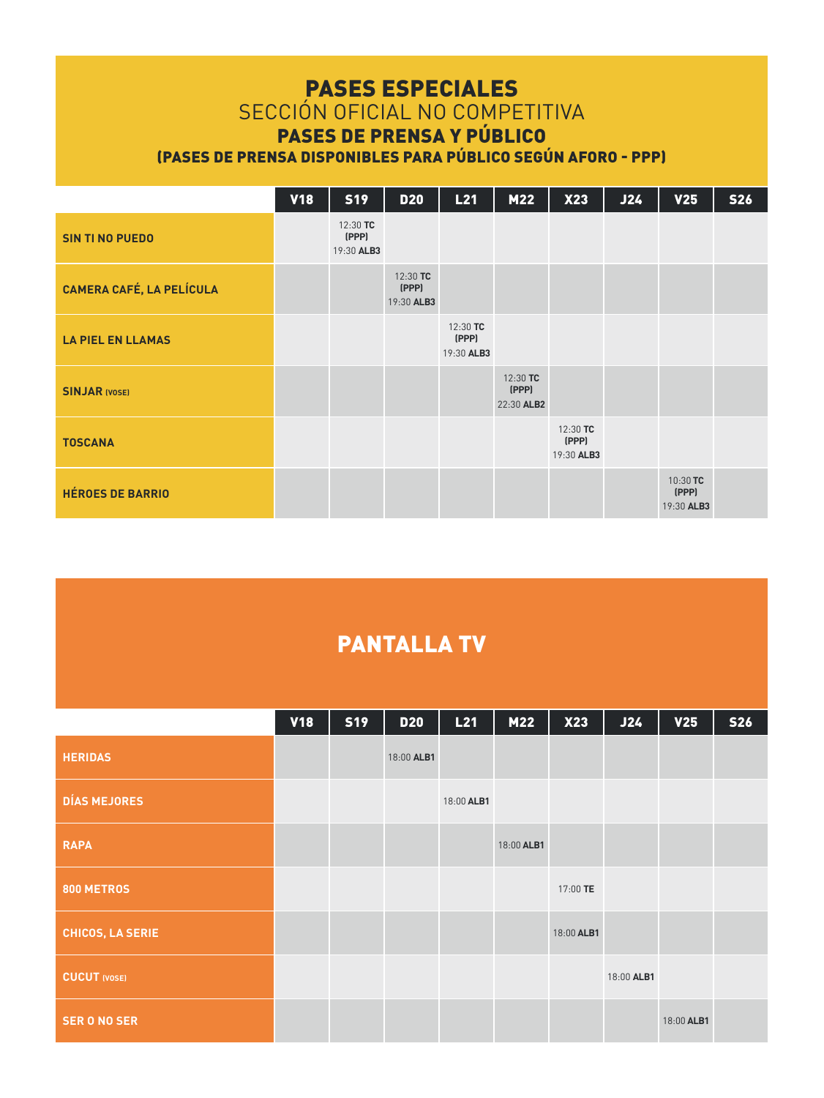## PASES ESPECIALES

### SECCIÓN OFICIAL NO COMPETITIVA PASES DE PRENSA Y PÚBLICO

(PASES DE PRENSA DISPONIBLES PARA PÚBLICO SEGÚN AFORO - PPP)

|                                 | <b>V18</b> | <b>S19</b>                        | <b>D20</b>                      | L21                             | M22                             | X23                             | J24 | V <sub>25</sub>                 | <b>S26</b> |
|---------------------------------|------------|-----------------------------------|---------------------------------|---------------------------------|---------------------------------|---------------------------------|-----|---------------------------------|------------|
| <b>SIN TI NO PUEDO</b>          |            | $12:30$ TC<br>(PPP)<br>19:30 ALB3 |                                 |                                 |                                 |                                 |     |                                 |            |
| <b>CAMERA CAFÉ, LA PELÍCULA</b> |            |                                   | 12:30 TC<br>(PPP)<br>19:30 ALB3 |                                 |                                 |                                 |     |                                 |            |
| <b>LA PIEL EN LLAMAS</b>        |            |                                   |                                 | 12:30 TC<br>(PPP)<br>19:30 ALB3 |                                 |                                 |     |                                 |            |
| <b>SINJAR IVOSEI</b>            |            |                                   |                                 |                                 | 12:30 TC<br>(PPP)<br>22:30 ALB2 |                                 |     |                                 |            |
| <b>TOSCANA</b>                  |            |                                   |                                 |                                 |                                 | 12:30 TC<br>(PPP)<br>19:30 ALB3 |     |                                 |            |
| <b>HÉROES DE BARRIO</b>         |            |                                   |                                 |                                 |                                 |                                 |     | 10:30 TC<br>(PPP)<br>19:30 ALB3 |            |

## PANTALLA TV

|                     | <b>V18</b> | <b>S19</b> | <b>D20</b> | L21        | M22        | X23        | J24        | V <sub>25</sub> | <b>S26</b> |
|---------------------|------------|------------|------------|------------|------------|------------|------------|-----------------|------------|
| <b>HERIDAS</b>      |            |            | 18:00 ALB1 |            |            |            |            |                 |            |
| <b>DÍAS MEJORES</b> |            |            |            | 18:00 ALB1 |            |            |            |                 |            |
| <b>RAPA</b>         |            |            |            |            | 18:00 ALB1 |            |            |                 |            |
| 800 METROS          |            |            |            |            |            | 17:00 TE   |            |                 |            |
| CHICOS, LA SERIE    |            |            |            |            |            | 18:00 ALB1 |            |                 |            |
| <b>CUCUT</b> (VOSE) |            |            |            |            |            |            | 18:00 ALB1 |                 |            |
| <b>SER O NO SER</b> |            |            |            |            |            |            |            | 18:00 ALB1      |            |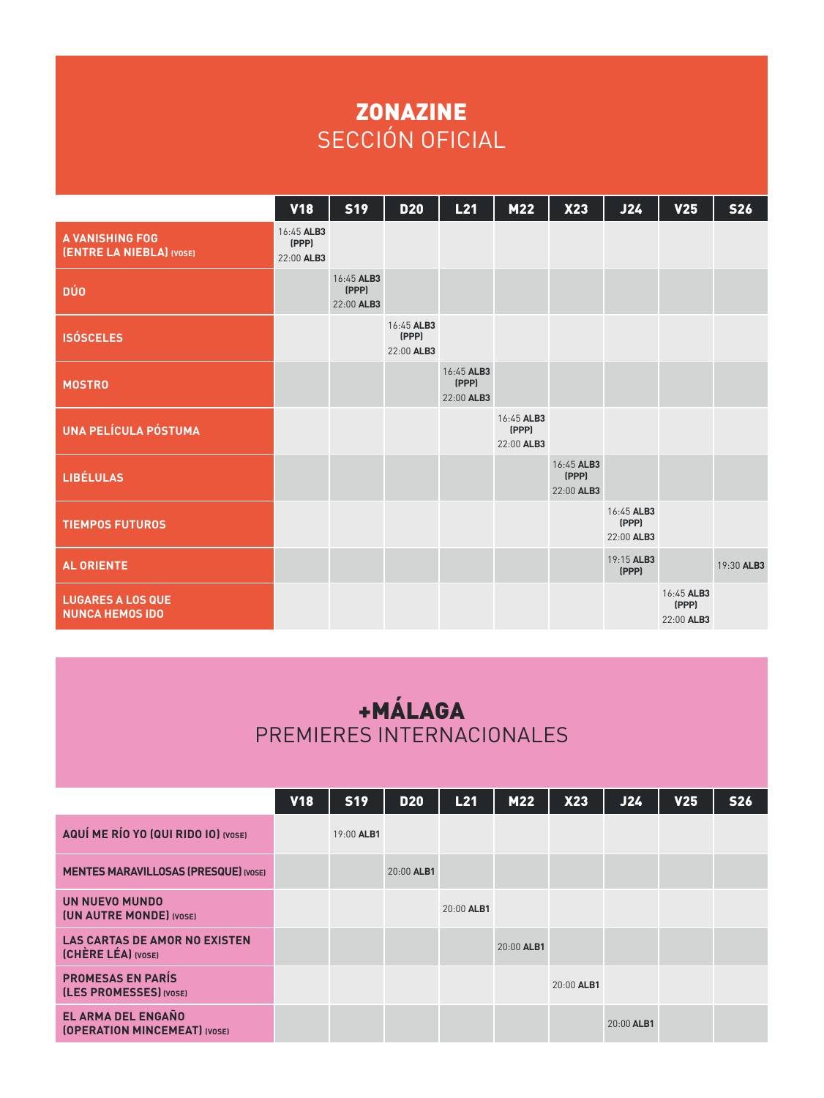## ZONAZINE SECCIÓN OFICIAL

|                                                    | <b>V18</b>                        | <b>S19</b>                        | <b>D20</b>                        | L21                               | M22                               | X23                               | J24                               | V <sub>25</sub>                   | <b>S26</b> |
|----------------------------------------------------|-----------------------------------|-----------------------------------|-----------------------------------|-----------------------------------|-----------------------------------|-----------------------------------|-----------------------------------|-----------------------------------|------------|
| <b>A VANISHING FOG</b><br>(ENTRE LA NIEBLA) (VOSE) | 16:45 ALB3<br>(PPP)<br>22:00 ALB3 |                                   |                                   |                                   |                                   |                                   |                                   |                                   |            |
| <b>DÚO</b>                                         |                                   | 16:45 ALB3<br>(PPP)<br>22:00 ALB3 |                                   |                                   |                                   |                                   |                                   |                                   |            |
| <b>ISÓSCELES</b>                                   |                                   |                                   | 16:45 ALB3<br>(PPP)<br>22:00 ALB3 |                                   |                                   |                                   |                                   |                                   |            |
| <b>MOSTRO</b>                                      |                                   |                                   |                                   | 16:45 ALB3<br>(PPP)<br>22:00 ALB3 |                                   |                                   |                                   |                                   |            |
| <b>UNA PELÍCULA PÓSTUMA</b>                        |                                   |                                   |                                   |                                   | 16:45 ALB3<br>(PPP)<br>22:00 ALB3 |                                   |                                   |                                   |            |
| <b>LIBÉLULAS</b>                                   |                                   |                                   |                                   |                                   |                                   | 16:45 ALB3<br>(PPP)<br>22:00 ALB3 |                                   |                                   |            |
| <b>TIEMPOS FUTUROS</b>                             |                                   |                                   |                                   |                                   |                                   |                                   | 16:45 ALB3<br>(PPP)<br>22:00 ALB3 |                                   |            |
| <b>AL ORIENTE</b>                                  |                                   |                                   |                                   |                                   |                                   |                                   | 19:15 ALB3<br>(PPP)               |                                   | 19:30 ALB3 |
| <b>LUGARES A LOS QUE</b><br><b>NUNCA HEMOS IDO</b> |                                   |                                   |                                   |                                   |                                   |                                   |                                   | 16:45 ALB3<br>(PPP)<br>22:00 ALB3 |            |

## +MÁLAGA PREMIERES INTERNACIONALES

|                                                                   | <b>V18</b> | <b>S19</b> | <b>D20</b> | L21        | <b>M22</b> | <b>X23</b> | J24        | <b>V25</b> | <b>S26</b> |
|-------------------------------------------------------------------|------------|------------|------------|------------|------------|------------|------------|------------|------------|
| AQUÍ ME RÍO YO (QUI RIDO IO) (VOSE)                               |            | 19:00 ALB1 |            |            |            |            |            |            |            |
| <b>MENTES MARAVILLOSAS (PRESQUE) (VOSE)</b>                       |            |            | 20:00 ALB1 |            |            |            |            |            |            |
| UN NUEVO MUNDO<br><b>(UN AUTRE MONDE)</b> (VOSE)                  |            |            |            | 20:00 ALB1 |            |            |            |            |            |
| <b>LAS CARTAS DE AMOR NO EXISTEN</b><br><b>(CHÈRE LÉA)</b> (VOSE) |            |            |            |            | 20:00 ALB1 |            |            |            |            |
| <b>PROMESAS EN PARÍS</b><br>(LES PROMESSES) (VOSE)                |            |            |            |            |            | 20:00 ALB1 |            |            |            |
| EL ARMA DEL ENGAÑO<br><b>(OPERATION MINCEMEAT) (VOSE)</b>         |            |            |            |            |            |            | 20:00 ALB1 |            |            |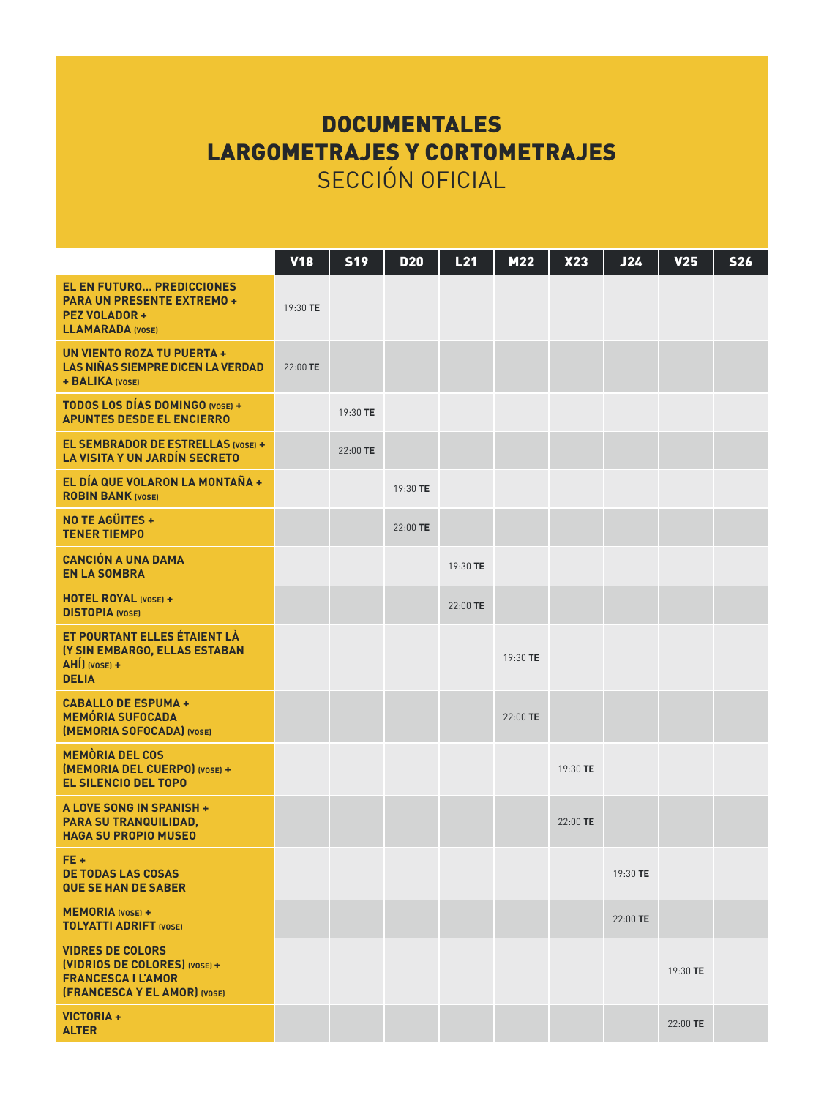## **DOCUMENTALES** LARGOMETRAJES Y CORTOMETRAJES SECCIÓN OFICIAL

|                                                                                                                              | <b>V18</b> | <b>S19</b> | <b>D20</b> | L21      | M22      | X23        | J24        | V <sub>25</sub> | <b>S26</b> |
|------------------------------------------------------------------------------------------------------------------------------|------------|------------|------------|----------|----------|------------|------------|-----------------|------------|
| <b>EL EN FUTURO PREDICCIONES</b><br><b>PARA UN PRESENTE EXTREMO +</b><br><b>PEZ VOLADOR +</b><br><b>LLAMARADA (VOSE)</b>     | 19:30 TE   |            |            |          |          |            |            |                 |            |
| UN VIENTO ROZA TU PUERTA +<br>LAS NIÑAS SIEMPRE DICEN LA VERDAD<br>+ BALIKA (VOSE)                                           | 22:00 TE   |            |            |          |          |            |            |                 |            |
| TODOS LOS DÍAS DOMINGO (VOSE) +<br><b>APUNTES DESDE EL ENCIERRO</b>                                                          |            | 19:30 TE   |            |          |          |            |            |                 |            |
| EL SEMBRADOR DE ESTRELLAS IVOSEI +<br><b>LA VISITA Y UN JARDÍN SECRETO</b>                                                   |            | 22:00 TE   |            |          |          |            |            |                 |            |
| EL DÍA QUE VOLARON LA MONTAÑA +<br><b>ROBIN BANK (VOSE)</b>                                                                  |            |            | 19:30 TE   |          |          |            |            |                 |            |
| NO TE AGÜITES +<br><b>TENER TIEMPO</b>                                                                                       |            |            | 22:00 TE   |          |          |            |            |                 |            |
| <b>CANCIÓN A UNA DAMA</b><br><b>EN LA SOMBRA</b>                                                                             |            |            |            | 19:30 TE |          |            |            |                 |            |
| HOTEL ROYAL (VOSE) +<br><b>DISTOPIA</b> (VOSE)                                                                               |            |            |            | 22:00 TE |          |            |            |                 |            |
| ET POURTANT ELLES ÉTAIENT LÀ<br>(Y SIN EMBARGO, ELLAS ESTABAN<br>AHI) (VOSE) +<br><b>DELIA</b>                               |            |            |            |          | 19:30 TE |            |            |                 |            |
| <b>CABALLO DE ESPUMA +</b><br><b>MEMÓRIA SUFOCADA</b><br>[MEMORIA SOFOCADA] (VOSE)                                           |            |            |            |          | 22:00 TE |            |            |                 |            |
| <b>MEMORIA DEL COS</b><br>[MEMORIA DEL CUERPO] (VOSE) +<br><b>EL SILENCIO DEL TOPO</b>                                       |            |            |            |          |          | 19:30 TE   |            |                 |            |
| A LOVE SONG IN SPANISH +<br>PARA SU TRANQUILIDAD,<br><b>HAGA SU PROPIO MUSEO</b>                                             |            |            |            |          |          | $22:00$ TE |            |                 |            |
| FE+<br><b>DE TODAS LAS COSAS</b><br><b>QUE SE HAN DE SABER</b>                                                               |            |            |            |          |          |            | 19:30 TE   |                 |            |
| <b>MEMORIA</b> (VOSE) +<br><b>TOLYATTI ADRIFT (VOSE)</b>                                                                     |            |            |            |          |          |            | $22:00$ TE |                 |            |
| <b>VIDRES DE COLORS</b><br>[VIDRIOS DE COLORES] (VOSE) +<br><b>FRANCESCA I L'AMOR</b><br><b>(FRANCESCA Y EL AMOR) (VOSE)</b> |            |            |            |          |          |            |            | 19:30 TE        |            |
| VICTORIA +<br><b>ALTER</b>                                                                                                   |            |            |            |          |          |            |            | 22:00 TE        |            |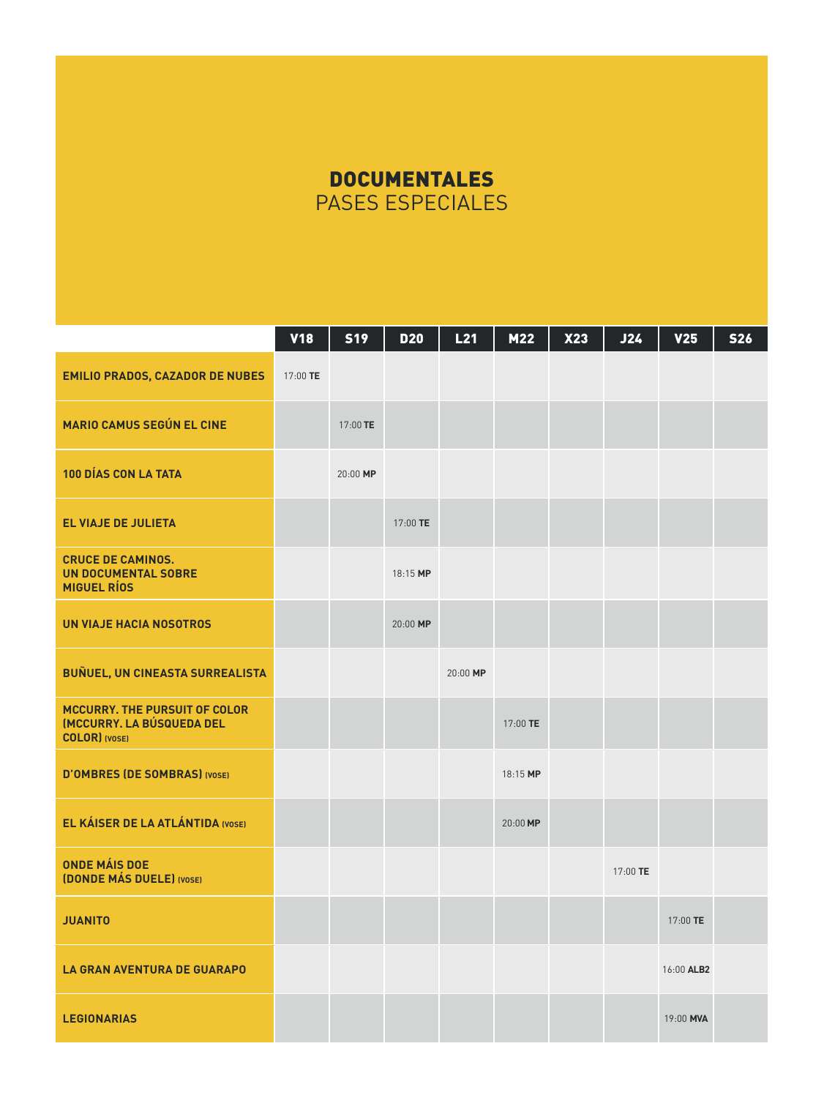## **DOCUMENTALES** PASES ESPECIALES

|                                                                                                   | <b>V18</b> | <b>S19</b> | <b>D20</b> | L21      | M22      | X23 | J24      | V <sub>25</sub> | <b>S26</b> |
|---------------------------------------------------------------------------------------------------|------------|------------|------------|----------|----------|-----|----------|-----------------|------------|
| <b>EMILIO PRADOS, CAZADOR DE NUBES</b>                                                            | 17:00 TE   |            |            |          |          |     |          |                 |            |
| <b>MARIO CAMUS SEGÚN EL CINE</b>                                                                  |            | 17:00 TE   |            |          |          |     |          |                 |            |
| 100 DÍAS CON LA TATA                                                                              |            | 20:00 MP   |            |          |          |     |          |                 |            |
| <b>EL VIAJE DE JULIETA</b>                                                                        |            |            | 17:00 TE   |          |          |     |          |                 |            |
| <b>CRUCE DE CAMINOS.</b><br><b>UN DOCUMENTAL SOBRE</b><br><b>MIGUEL RÍOS</b>                      |            |            | 18:15 MP   |          |          |     |          |                 |            |
| <b>UN VIAJE HACIA NOSOTROS</b>                                                                    |            |            | 20:00 MP   |          |          |     |          |                 |            |
| <b>BUÑUEL, UN CINEASTA SURREALISTA</b>                                                            |            |            |            | 20:00 MP |          |     |          |                 |            |
| <b>MCCURRY. THE PURSUIT OF COLOR</b><br><b>(MCCURRY, LA BÚSQUEDA DEL</b><br><b>COLOR</b> ) (VOSE) |            |            |            |          | 17:00 TE |     |          |                 |            |
| <b>D'OMBRES (DE SOMBRAS) (VOSE)</b>                                                               |            |            |            |          | 18:15 MP |     |          |                 |            |
| EL KÁISER DE LA ATLÁNTIDA (VOSE)                                                                  |            |            |            |          | 20:00 MP |     |          |                 |            |
| <b>ONDE MÁIS DOE</b><br><b>(DONDE MÁS DUELE)</b> (VOSE)                                           |            |            |            |          |          |     | 17:00 TE |                 |            |
| <b>JUANITO</b>                                                                                    |            |            |            |          |          |     |          | 17:00 TE        |            |
| <b>LA GRAN AVENTURA DE GUARAPO</b>                                                                |            |            |            |          |          |     |          | 16:00 ALB2      |            |
| <b>LEGIONARIAS</b>                                                                                |            |            |            |          |          |     |          | 19:00 MVA       |            |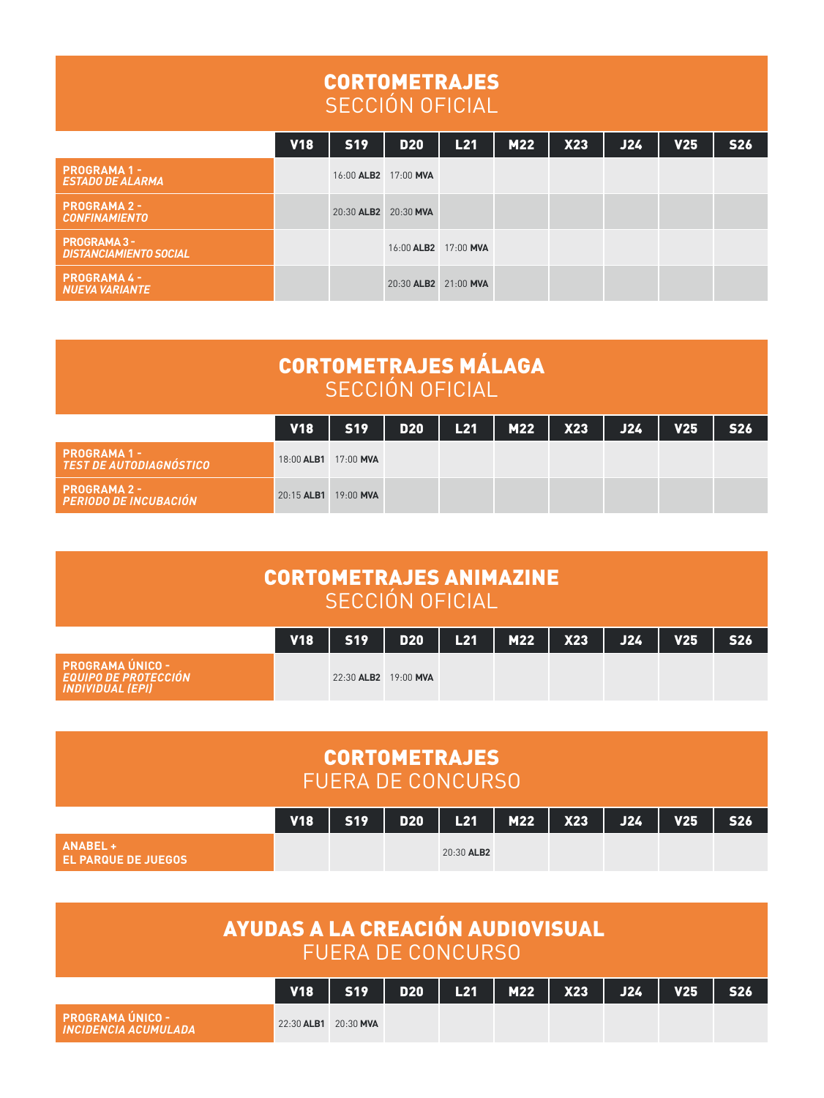### CORTOMETRAJES SECCIÓN OFICIAL

|                                                | <b>V18</b> | <b>S19</b>           | <b>D20</b>           | L21 | <b>M22</b> | <b>X23</b> | J24 | V <sub>25</sub> | <b>S26</b> |
|------------------------------------------------|------------|----------------------|----------------------|-----|------------|------------|-----|-----------------|------------|
| <b>PROGRAMA 1 -</b><br><b>ESTADO DE ALARMA</b> |            | 16:00 ALB2 17:00 MVA |                      |     |            |            |     |                 |            |
| <b>PROGRAMA 2 -</b><br><b>CONFINAMIENTO</b>    |            | 20:30 ALB2 20:30 MVA |                      |     |            |            |     |                 |            |
| PROGRAMA 3 -<br><b>DISTANCIAMIENTO SOCIAL</b>  |            |                      | 16:00 ALB2 17:00 MVA |     |            |            |     |                 |            |
| <b>PROGRAMA 4 -</b><br><b>NUEVA VARIANTE</b>   |            |                      | 20:30 ALB2 21:00 MVA |     |            |            |     |                 |            |

| <b>CORTOMETRAJES MÁLAGA</b><br>SECCIÓN OFICIAL |                      |           |       |           |             |  |     |                 |                 |  |  |  |
|------------------------------------------------|----------------------|-----------|-------|-----------|-------------|--|-----|-----------------|-----------------|--|--|--|
|                                                | <b>V18</b>           | 519       | D20 1 | - L21 - I | $M22$ $X23$ |  | J24 | V <sub>25</sub> | S <sub>26</sub> |  |  |  |
| PROGRAMA 1 -<br>TEST DE AUTODIAGNÓSTICO        | 18:00 ALB1 17:00 MVA |           |       |           |             |  |     |                 |                 |  |  |  |
| <b>PROGRAMA 2 -</b><br>PERIODO DE INCUBACIÓN   | $20:15$ ALB1         | 19:00 MVA |       |           |             |  |     |                 |                 |  |  |  |

| <b>CORTOMETRAJES ANIMAZINE</b><br>SECCIÓN OFICIAL                          |            |                      |     |     |     |                   |     |                 |                 |  |  |  |
|----------------------------------------------------------------------------|------------|----------------------|-----|-----|-----|-------------------|-----|-----------------|-----------------|--|--|--|
|                                                                            | <b>V18</b> | - S19 I              | D20 | L21 | M22 | <b>X23</b><br>- 1 | J24 | V <sub>25</sub> | S <sub>26</sub> |  |  |  |
| PROGRAMA ÚNICO -<br><b>EQUIPO DE PROTECCIÓN</b><br><b>INDIVIDUAL (EPI)</b> |            | 22:30 ALB2 19:00 MVA |     |     |     |                   |     |                 |                 |  |  |  |

| <b>CORTOMETRAJES</b><br><b>FUERA DE CONCURSO</b> |            |            |            |            |  |                   |            |                 |                 |  |  |  |
|--------------------------------------------------|------------|------------|------------|------------|--|-------------------|------------|-----------------|-----------------|--|--|--|
|                                                  | <b>V18</b> | <b>S19</b> | <b>D20</b> | - 11       |  | $L21$   M22   X23 | <b>J24</b> | V <sub>25</sub> | S <sub>26</sub> |  |  |  |
| ANABEL +<br><b>EL PARQUE DE JUEGOS</b>           |            |            |            | 20:30 ALB2 |  |                   |            |                 |                 |  |  |  |

|                                                         | <b>AYUDAS A LA CREACIÓN AUDIOVISUAL</b><br>' FUERA DE CONCURSO. |     |  |  |                         |  |     |                 |            |  |  |  |
|---------------------------------------------------------|-----------------------------------------------------------------|-----|--|--|-------------------------|--|-----|-----------------|------------|--|--|--|
|                                                         | <b>V18</b>                                                      | S19 |  |  | $D20$   L21   M22   X23 |  | J24 | V <sub>25</sub> | <b>S26</b> |  |  |  |
| <b>PROGRAMA ÚNICO -</b><br><b>INCIDENCIA ACUMUI ADA</b> | 22:30 ALB1 20:30 MVA                                            |     |  |  |                         |  |     |                 |            |  |  |  |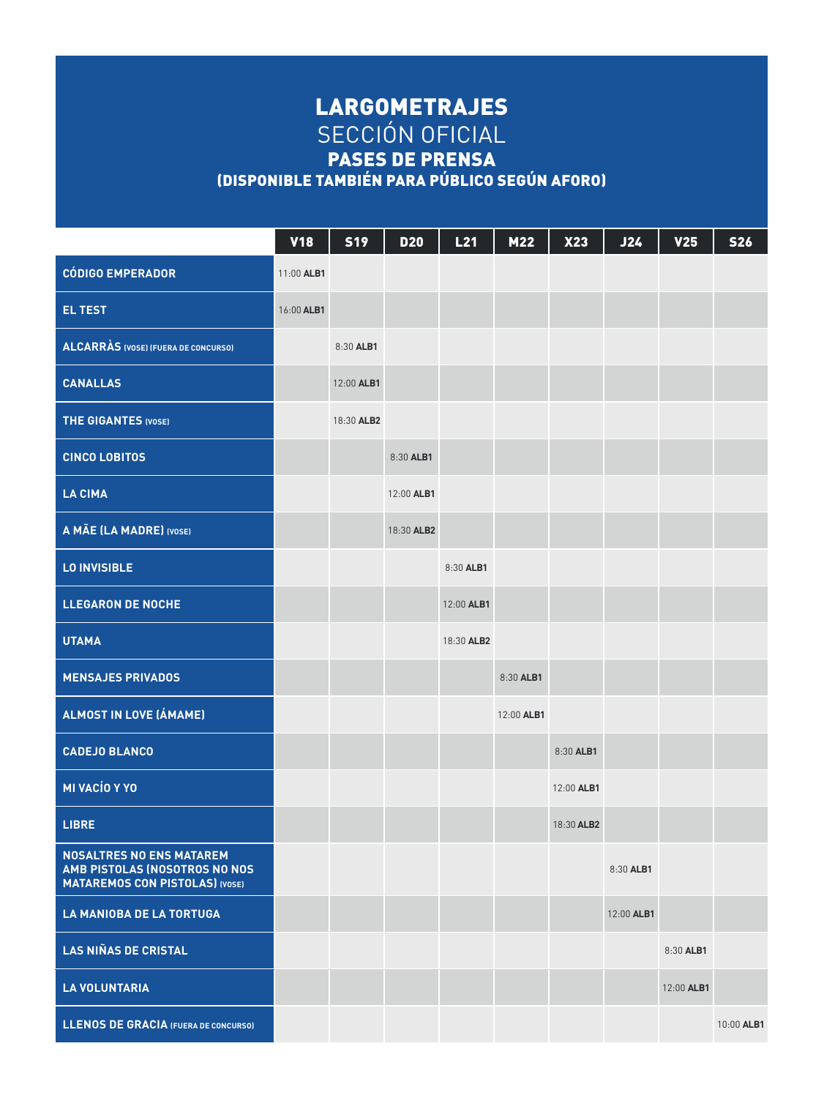### LARGOMETRAJES SECCIÓN OFICIAL PASES DE PRENSA (DISPONIBLE TAMBIÉN PARA PÚBLICO SEGÚN AFORO)

|                                                                                                           | <b>V18</b> | <b>S19</b> | <b>D20</b> | L21        | M22        | X23        | <b>J24</b> | <b>V25</b> | <b>S26</b> |
|-----------------------------------------------------------------------------------------------------------|------------|------------|------------|------------|------------|------------|------------|------------|------------|
| <b>CÓDIGO EMPERADOR</b>                                                                                   | 11:00 ALB1 |            |            |            |            |            |            |            |            |
| <b>EL TEST</b>                                                                                            | 16:00 ALB1 |            |            |            |            |            |            |            |            |
| <b>ALCARRAS</b> (VOSE) (FUERA DE CONCURSO)                                                                |            | 8:30 ALB1  |            |            |            |            |            |            |            |
| <b>CANALLAS</b>                                                                                           |            | 12:00 ALB1 |            |            |            |            |            |            |            |
| <b>THE GIGANTES (VOSE)</b>                                                                                |            | 18:30 ALB2 |            |            |            |            |            |            |            |
| <b>CINCO LOBITOS</b>                                                                                      |            |            | 8:30 ALB1  |            |            |            |            |            |            |
| <b>LA CIMA</b>                                                                                            |            |            | 12:00 ALB1 |            |            |            |            |            |            |
| A MÃE (LA MADRE) (VOSE)                                                                                   |            |            | 18:30 ALB2 |            |            |            |            |            |            |
| <b>LO INVISIBLE</b>                                                                                       |            |            |            | 8:30 ALB1  |            |            |            |            |            |
| <b>LLEGARON DE NOCHE</b>                                                                                  |            |            |            | 12:00 ALB1 |            |            |            |            |            |
| <b>UTAMA</b>                                                                                              |            |            |            | 18:30 ALB2 |            |            |            |            |            |
| <b>MENSAJES PRIVADOS</b>                                                                                  |            |            |            |            | 8:30 ALB1  |            |            |            |            |
| ALMOST IN LOVE (ÁMAME)                                                                                    |            |            |            |            | 12:00 ALB1 |            |            |            |            |
| <b>CADEJO BLANCO</b>                                                                                      |            |            |            |            |            | 8:30 ALB1  |            |            |            |
| MI VACÍO Y YO                                                                                             |            |            |            |            |            | 12:00 ALB1 |            |            |            |
| <b>LIBRE</b>                                                                                              |            |            |            |            |            | 18:30 ALB2 |            |            |            |
| <b>NOSALTRES NO ENS MATAREM</b><br>AMB PISTOLAS (NOSOTROS NO NOS<br><b>MATAREMOS CON PISTOLAS) (VOSE)</b> |            |            |            |            |            |            | 8:30 ALB1  |            |            |
| <b>LA MANIOBA DE LA TORTUGA</b>                                                                           |            |            |            |            |            |            | 12:00 ALB1 |            |            |
| <b>LAS NIÑAS DE CRISTAL</b>                                                                               |            |            |            |            |            |            |            | 8:30 ALB1  |            |
| <b>LA VOLUNTARIA</b>                                                                                      |            |            |            |            |            |            |            | 12:00 ALB1 |            |
| <b>LLENOS DE GRACIA (FUERA DE CONCURSO)</b>                                                               |            |            |            |            |            |            |            |            | 10:00 ALB1 |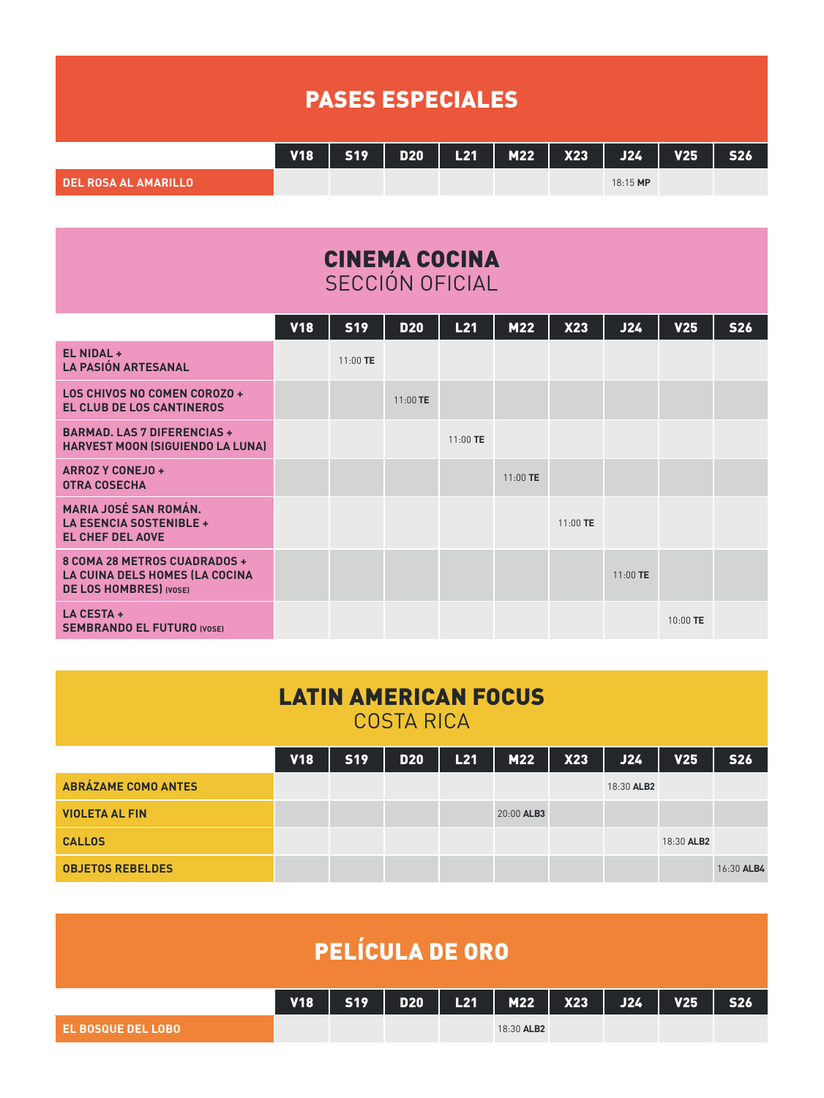|                             | <b>PASES ESPECIALES</b> |  |  |  |  |  |                                           |  |            |  |  |  |  |  |
|-----------------------------|-------------------------|--|--|--|--|--|-------------------------------------------|--|------------|--|--|--|--|--|
|                             | <b>V18</b>              |  |  |  |  |  | $519$   D20   L21   M22   X23   J24   V25 |  | <b>S26</b> |  |  |  |  |  |
| <b>DEL ROSA AL AMARILLO</b> |                         |  |  |  |  |  | 18:15 MP                                  |  |            |  |  |  |  |  |

| <b>CINEMA COCINA</b> |  |
|----------------------|--|
| SECCIÓN OFICIAL      |  |

|                                                                                                  | <b>V18</b> | <b>S19</b> | <b>D20</b> | L21        | M22        | X23      | J24        | V <sub>25</sub> | <b>S26</b> |
|--------------------------------------------------------------------------------------------------|------------|------------|------------|------------|------------|----------|------------|-----------------|------------|
| EL NIDAL +<br><b>LA PASIÓN ARTESANAL</b>                                                         |            | 11:00 TE   |            |            |            |          |            |                 |            |
| LOS CHIVOS NO COMEN COROZO +<br>EL CLUB DE LOS CANTINEROS                                        |            |            | 11:00 TE   |            |            |          |            |                 |            |
| <b>BARMAD, LAS 7 DIFERENCIAS +</b><br><b>HARVEST MOON (SIGUIENDO LA LUNA)</b>                    |            |            |            | $11:00$ TE |            |          |            |                 |            |
| <b>ARROZ Y CONEJO +</b><br><b>OTRA COSECHA</b>                                                   |            |            |            |            | $11:00$ TE |          |            |                 |            |
| <b>MARIA JOSÉ SAN ROMÁN.</b><br>LA ESENCIA SOSTENIBLE +<br><b>EL CHEF DEL AOVE</b>               |            |            |            |            |            | 11:00 TE |            |                 |            |
| 8 COMA 28 METROS CUADRADOS +<br>LA CUINA DELS HOMES (LA COCINA<br><b>DE LOS HOMBRES</b> I (VOSE) |            |            |            |            |            |          | $11:00$ TE |                 |            |
| LA CESTA +<br><b>SEMBRANDO EL FUTURO (VOSE)</b>                                                  |            |            |            |            |            |          |            | 10:00 TE        |            |

| <b>LATIN AMERICAN FOCUS</b><br><b>COSTA RICA</b> |            |            |            |     |            |            |            |            |            |  |  |  |
|--------------------------------------------------|------------|------------|------------|-----|------------|------------|------------|------------|------------|--|--|--|
|                                                  | <b>V18</b> | <b>S19</b> | <b>D20</b> | L21 | M22        | <b>X23</b> | J24        | <b>V25</b> | <b>S26</b> |  |  |  |
| <b>ABRÁZAME COMO ANTES</b>                       |            |            |            |     |            |            | 18:30 ALB2 |            |            |  |  |  |
| <b>VIOLETA AL FIN</b>                            |            |            |            |     | 20:00 ALB3 |            |            |            |            |  |  |  |
| <b>CALLOS</b>                                    |            |            |            |     |            |            |            | 18:30 ALB2 |            |  |  |  |
| <b>OBJETOS REBELDES</b>                          |            |            |            |     |            |            |            |            | 16:30 ALB4 |  |  |  |

| <b>PELÍCULA DE ORO</b><br>$L21$   M22   X23   J24 |            |     |                        |  |            |  |  |            |            |  |  |  |
|---------------------------------------------------|------------|-----|------------------------|--|------------|--|--|------------|------------|--|--|--|
|                                                   | <b>V18</b> | S19 | D <sub>20</sub><br>- 1 |  |            |  |  | <b>V25</b> | <b>S26</b> |  |  |  |
| EL BOSQUE DEL LOBO                                |            |     |                        |  | 18:30 ALB2 |  |  |            |            |  |  |  |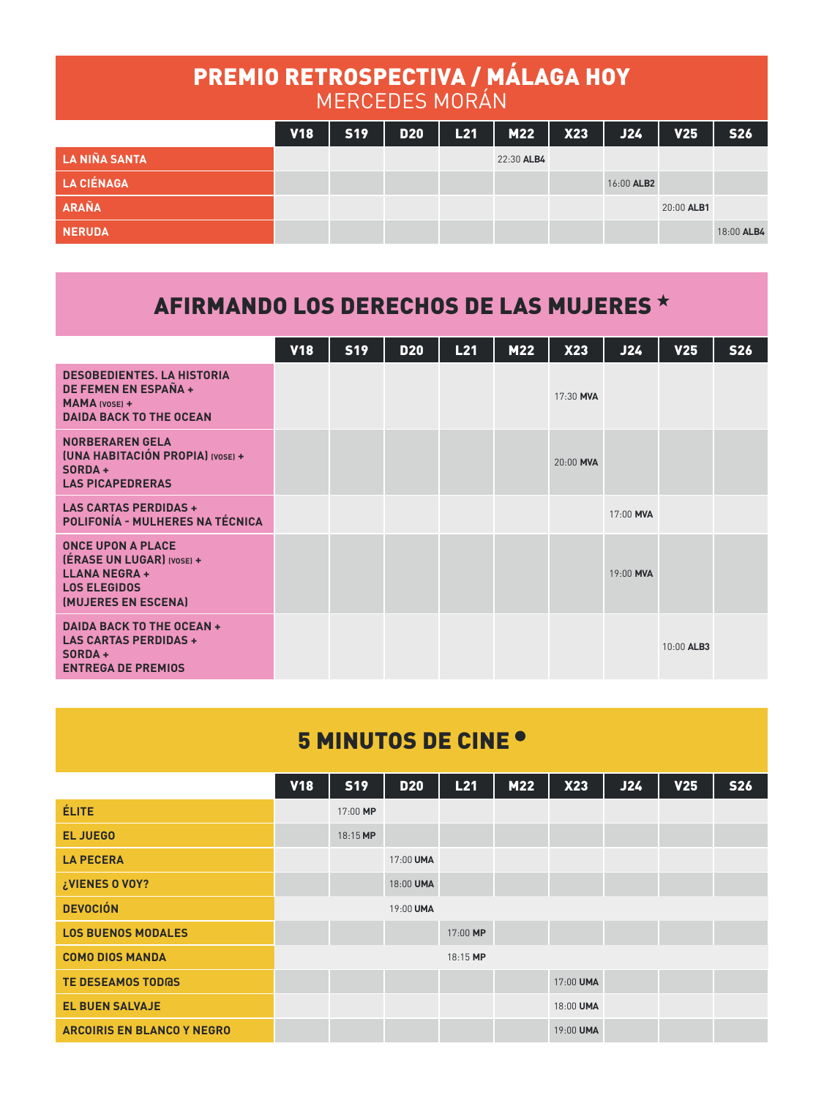| PREMIO RETROSPECTIVA / MÁLAGA HOY |            | <b>MERCEDES MORÁN</b> |            |     |            |     |            |            |            |
|-----------------------------------|------------|-----------------------|------------|-----|------------|-----|------------|------------|------------|
|                                   | <b>V18</b> | <b>S19</b>            | <b>D20</b> | L21 | M22        | X23 | <b>J24</b> | <b>V25</b> | <b>S26</b> |
| <b>LA NIÑA SANTA</b>              |            |                       |            |     | 22:30 ALB4 |     |            |            |            |
| <b>LA CIÉNAGA</b>                 |            |                       |            |     |            |     | 16:00 ALB2 |            |            |
| ARAÑA                             |            |                       |            |     |            |     |            | 20:00 ALB1 |            |
| <b>NERUDA</b>                     |            |                       |            |     |            |     |            |            | 18:00 ALB4 |

## AFIRMANDO LOS DERECHOS DE LAS MUJERES

|                                                                                                                             | <b>V18</b> | <b>S19</b> | <b>D20</b> | L21 | M22 | X23       | J24       | V <sub>25</sub> | <b>S26</b> |
|-----------------------------------------------------------------------------------------------------------------------------|------------|------------|------------|-----|-----|-----------|-----------|-----------------|------------|
| <b>DESOBEDIENTES, LA HISTORIA</b><br>DE FEMEN EN ESPAÑA +<br><b>MAMA (VOSE) +</b><br><b>DAIDA BACK TO THE OCEAN</b>         |            |            |            |     |     | 17:30 MVA |           |                 |            |
| <b>NORBERAREN GELA</b><br><b>[UNA HABITACIÓN PROPIA] (VOSE) +</b><br>$SORDA +$<br><b>LAS PICAPEDRERAS</b>                   |            |            |            |     |     | 20:00 MVA |           |                 |            |
| <b>LAS CARTAS PERDIDAS +</b><br>POLIFONÍA - MULHERES NA TÉCNICA                                                             |            |            |            |     |     |           | 17:00 MVA |                 |            |
| <b>ONCE UPON A PLACE</b><br>(ERASE UN LUGAR) (VOSE) +<br><b>LLANA NEGRA +</b><br><b>LOS ELEGIDOS</b><br>(MUJERES EN ESCENA) |            |            |            |     |     |           | 19:00 MVA |                 |            |
| <b>DAIDA BACK TO THE OCEAN +</b><br><b>LAS CARTAS PERDIDAS +</b><br>$SORDA +$<br><b>ENTREGA DE PREMIOS</b>                  |            |            |            |     |     |           |           | 10:00 ALB3      |            |

## 5 MINUTOS DE CINE

|                                   | <b>V18</b> | <b>S19</b> | <b>D20</b> | L21      | M22 | X23       | J24 | <b>V25</b> | <b>S26</b> |
|-----------------------------------|------------|------------|------------|----------|-----|-----------|-----|------------|------------|
| ÉLITE                             |            | 17:00 MP   |            |          |     |           |     |            |            |
| <b>EL JUEGO</b>                   |            | 18:15 MP   |            |          |     |           |     |            |            |
| <b>LA PECERA</b>                  |            |            | 17:00 UMA  |          |     |           |     |            |            |
| ¿VIENES 0 VOY?                    |            |            | 18:00 UMA  |          |     |           |     |            |            |
| <b>DEVOCIÓN</b>                   |            |            | 19:00 UMA  |          |     |           |     |            |            |
| <b>LOS BUENOS MODALES</b>         |            |            |            | 17:00 MP |     |           |     |            |            |
| <b>COMO DIOS MANDA</b>            |            |            |            | 18:15 MP |     |           |     |            |            |
| <b>TE DESEAMOS TODGS</b>          |            |            |            |          |     | 17:00 UMA |     |            |            |
| <b>EL BUEN SALVAJE</b>            |            |            |            |          |     | 18:00 UMA |     |            |            |
| <b>ARCOIRIS EN BLANCO Y NEGRO</b> |            |            |            |          |     | 19:00 UMA |     |            |            |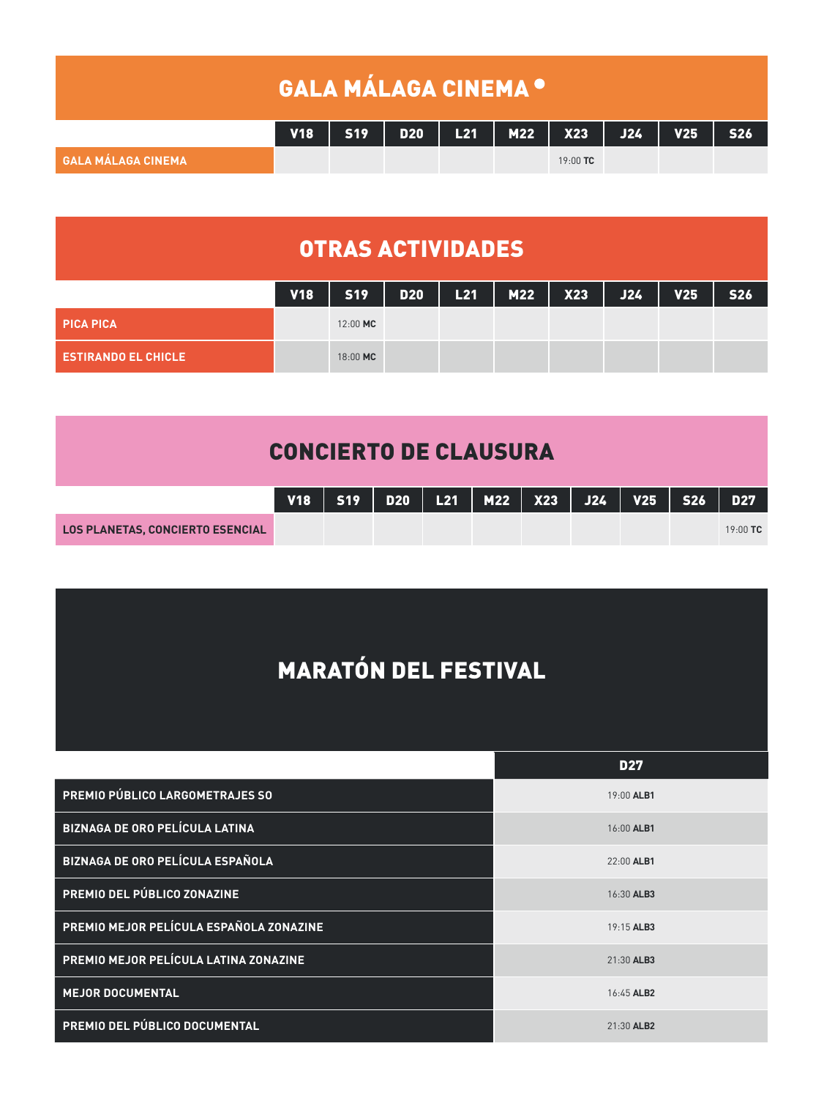|                    | <b>GALA MÁLAGA CINEMA ·</b> |  |  |                                         |  |            |
|--------------------|-----------------------------|--|--|-----------------------------------------|--|------------|
|                    | <b>V18</b>                  |  |  | S19   D20   L21   M22   X23   J24   V25 |  | <b>S26</b> |
| GALA MÁLAGA CINEMA |                             |  |  | $19:00$ TC                              |  |            |

## OTRAS ACTIVIDADES

|                                | <b>V18</b> |          |  | S19   D20   L21   M22   X23   J24 |  | V25 | <b>S26</b> |
|--------------------------------|------------|----------|--|-----------------------------------|--|-----|------------|
| <b>PICA PICA</b>               |            | 12:00 MC |  |                                   |  |     |            |
| <b>. ESTIRANDO EL CHICLE '</b> |            | 18:00 MC |  |                                   |  |     |            |

|                                         |  | V18   S19   D20   L21   M22   X23   J24   V25   S26   D27 <sup> </sup> |  |  |            |
|-----------------------------------------|--|------------------------------------------------------------------------|--|--|------------|
| <b>LOS PLANETAS, CONCIERTO ESENCIAL</b> |  |                                                                        |  |  | $19:00$ TC |

## MARATÓN DEL FESTIVAL

|                                         | <b>D27</b> |
|-----------------------------------------|------------|
| PREMIO PÚBLICO LARGOMETRAJES SO         | 19:00 ALB1 |
| BIZNAGA DE ORO PELÍCULA LATINA          | 16:00 ALB1 |
| BIZNAGA DE ORO PELÍCULA ESPAÑOLA        | 22:00 ALB1 |
| PREMIO DEL PÚBLICO ZONAZINE             | 16:30 ALB3 |
| PREMIO MEJOR PELÍCULA ESPAÑOLA ZONAZINE | 19:15 ALB3 |
| PREMIO MEJOR PELÍCULA LATINA ZONAZINE   | 21:30 ALB3 |
| <b>MEJOR DOCUMENTAL</b>                 | 16:45 ALB2 |
| PREMIO DEL PÚBLICO DOCUMENTAL           | 21:30 ALB2 |